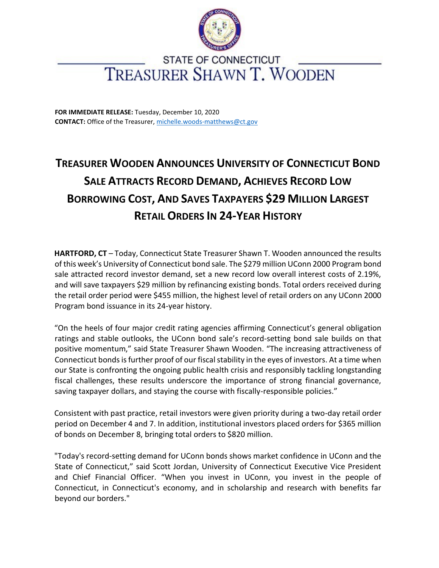

## **STATE OF CONNECTICUT** TREASURER SHAWN T. WOODEN

**FOR IMMEDIATE RELEASE:** Tuesday, December 10, 2020 **CONTACT:** Office of the Treasurer, michelle.woods-matthews@ct.gov

## **TREASURER WOODEN ANNOUNCES UNIVERSITY OF CONNECTICUT BOND SALE ATTRACTS RECORD DEMAND, ACHIEVES RECORD LOW BORROWING COST, AND SAVES TAXPAYERS \$29 MILLION LARGEST RETAIL ORDERS IN 24-YEAR HISTORY**

**HARTFORD, CT** – Today, Connecticut State Treasurer Shawn T. Wooden announced the results of this week's University of Connecticut bond sale. The \$279 million UConn 2000 Program bond sale attracted record investor demand, set a new record low overall interest costs of 2.19%, and will save taxpayers \$29 million by refinancing existing bonds. Total orders received during the retail order period were \$455 million, the highest level of retail orders on any UConn 2000 Program bond issuance in its 24-year history.

"On the heels of four major credit rating agencies affirming Connecticut's general obligation ratings and stable outlooks, the UConn bond sale's record-setting bond sale builds on that positive momentum," said State Treasurer Shawn Wooden. "The increasing attractiveness of Connecticut bonds is further proof of our fiscal stability in the eyes of investors. At a time when our State is confronting the ongoing public health crisis and responsibly tackling longstanding fiscal challenges, these results underscore the importance of strong financial governance, saving taxpayer dollars, and staying the course with fiscally-responsible policies."

Consistent with past practice, retail investors were given priority during a two-day retail order period on December 4 and 7. In addition, institutional investors placed orders for \$365 million of bonds on December 8, bringing total orders to \$820 million.

"Today's record-setting demand for UConn bonds shows market confidence in UConn and the State of Connecticut," said Scott Jordan, University of Connecticut Executive Vice President and Chief Financial Officer. "When you invest in UConn, you invest in the people of Connecticut, in Connecticut's economy, and in scholarship and research with benefits far beyond our borders."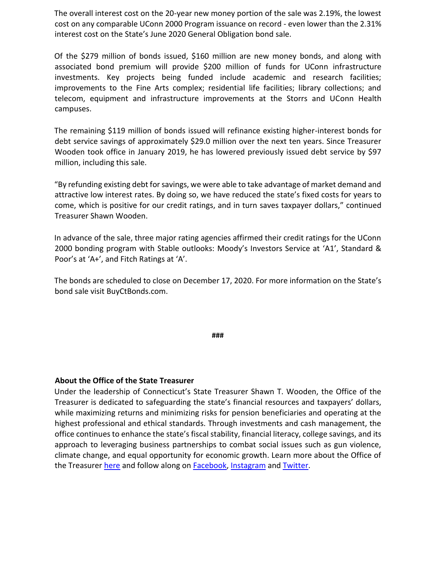The overall interest cost on the 20-year new money portion of the sale was 2.19%, the lowest cost on any comparable UConn 2000 Program issuance on record - even lower than the 2.31% interest cost on the State's June 2020 General Obligation bond sale.

Of the \$279 million of bonds issued, \$160 million are new money bonds, and along with associated bond premium will provide \$200 million of funds for UConn infrastructure investments. Key projects being funded include academic and research facilities; improvements to the Fine Arts complex; residential life facilities; library collections; and telecom, equipment and infrastructure improvements at the Storrs and UConn Health campuses.

The remaining \$119 million of bonds issued will refinance existing higher-interest bonds for debt service savings of approximately \$29.0 million over the next ten years. Since Treasurer Wooden took office in January 2019, he has lowered previously issued debt service by \$97 million, including this sale.

"By refunding existing debt for savings, we were able to take advantage of market demand and attractive low interest rates. By doing so, we have reduced the state's fixed costs for years to come, which is positive for our credit ratings, and in turn saves taxpayer dollars," continued Treasurer Shawn Wooden.

In advance of the sale, three major rating agencies affirmed their credit ratings for the UConn 2000 bonding program with Stable outlooks: Moody's Investors Service at 'A1', Standard & Poor's at 'A+', and Fitch Ratings at 'A'.

The bonds are scheduled to close on December 17, 2020. For more information on the State's bond sale visit BuyCtBonds.com.

**###** 

## **About the Office of the State Treasurer**

Under the leadership of Connecticut's State Treasurer Shawn T. Wooden, the Office of the Treasurer is dedicated to safeguarding the state's financial resources and taxpayers' dollars, while maximizing returns and minimizing risks for pension beneficiaries and operating at the highest professional and ethical standards. Through investments and cash management, the office continues to enhance the state's fiscal stability, financial literacy, college savings, and its approach to leveraging business partnerships to combat social issues such as gun violence, climate change, and equal opportunity for economic growth. Learn more about the Office of the T[r](https://portal.ct.gov/OTT/About-the-Treasury/Overview)easurer [here](https://portal.ct.gov/OTT/About-the-Treasury/Overview) a[n](https://www.facebook.com/treasurerwooden/)d follow along on [Facebook,](https://www.facebook.com/treasurerwooden/) [Instagram](https://www.instagram.com/cttreasurerwooden/) and [Twitter.](https://twitter.com/TreasurerWooden)